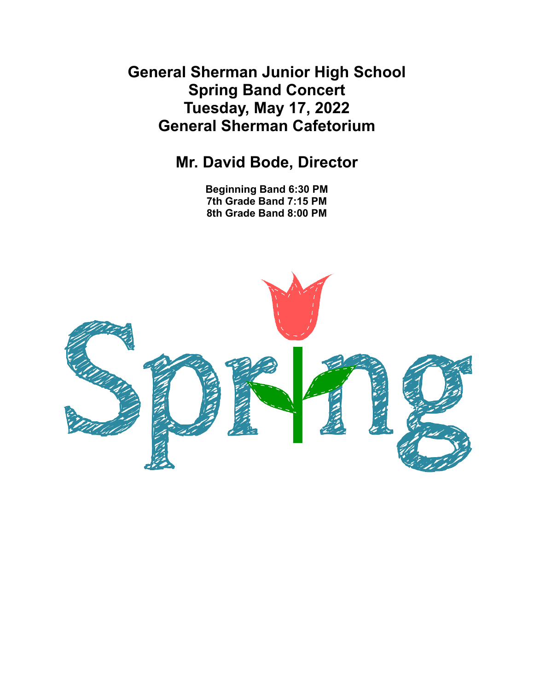**General Sherman Junior High School Spring Band Concert Tuesday, May 17, 2022 General Sherman Cafetorium**

# **Mr. David Bode, Director**

**Beginning Band 6:30 PM 7th Grade Band 7:15 PM 8th Grade Band 8:00 PM**

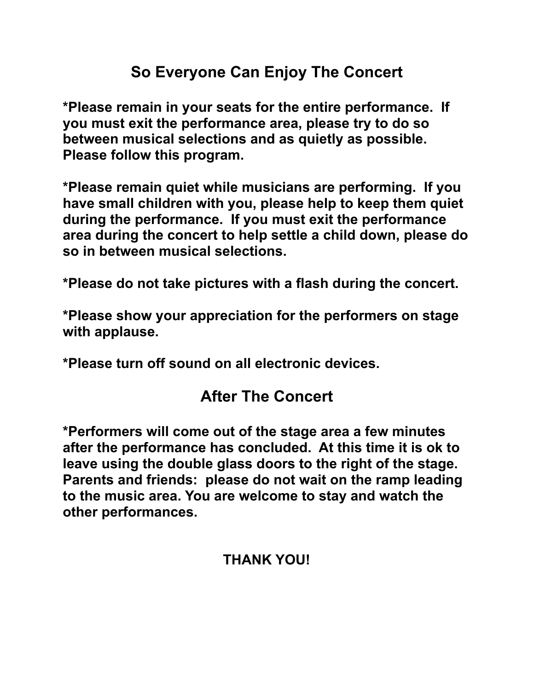# **So Everyone Can Enjoy The Concert**

**\*Please remain in your seats for the entire performance. If you must exit the performance area, please try to do so between musical selections and as quietly as possible. Please follow this program.**

**\*Please remain quiet while musicians are performing. If you have small children with you, please help to keep them quiet during the performance. If you must exit the performance area during the concert to help settle a child down, please do so in between musical selections.**

**\*Please do not take pictures with a flash during the concert.**

**\*Please show your appreciation for the performers on stage with applause.**

**\*Please turn off sound on all electronic devices.**

# **After The Concert**

**\*Performers will come out of the stage area a few minutes after the performance has concluded. At this time it is ok to leave using the double glass doors to the right of the stage. Parents and friends: please do not wait on the ramp leading to the music area. You are welcome to stay and watch the other performances.**

# **THANK YOU!**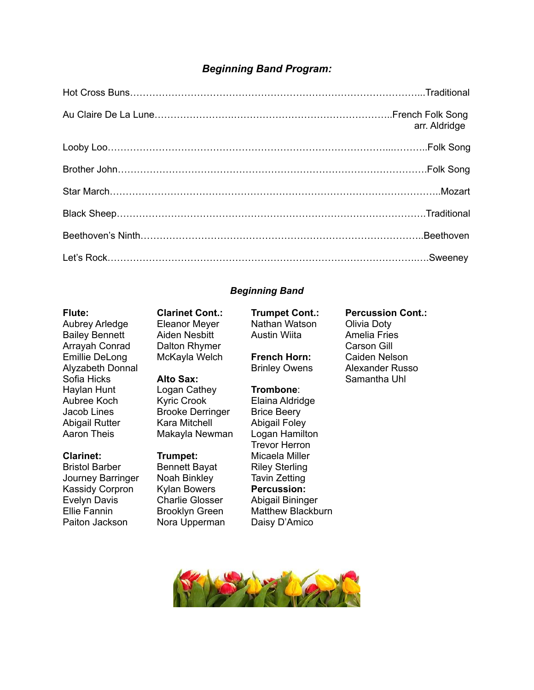## *Beginning Band Program:*

| arr. Aldridge |
|---------------|
|               |
|               |
|               |
|               |
|               |
|               |

## *Beginning Band*

Bailey Bennett Aiden Nesbitt Austin Wiita Amelia Fries Arrayah Conrad Dalton Rhymer Carson Gill Emillie DeLong McKayla Welch **French Horn:** Caiden Nelson Sofia Hicks **Alto Sax:** Samantha Uhl Haylan Hunt Logan Cathey **Trombone**: Aubree Koch Kyric Crook Elaina Aldridge Jacob Lines **Brooke Derringer** Brice Beery Abigail Rutter Kara Mitchell Abigail Foley Aaron Theis Makayla Newman Logan Hamilton

Bristol Barber Bennett Bayat Riley Sterling Journey Barringer Noah Binkley Tavin Zetting Kassidy Corpron Kylan Bowers **Percussion:** Evelyn Davis Charlie Glosser Abigail Bininger Paiton Jackson Nora Upperman Daisy D'Amico

**Flute: Clarinet Cont.: Trumpet Cont.: Percussion Cont.:**

Aubrey Arledge Eleanor Meyer Nathan Watson Olivia Doty

Trevor Herron **Clarinet: Trumpet:** Micaela Miller Ellie Fannin Brooklyn Green Matthew Blackburn

Alyzabeth Donnal **Brinley Owens** Alexander Russo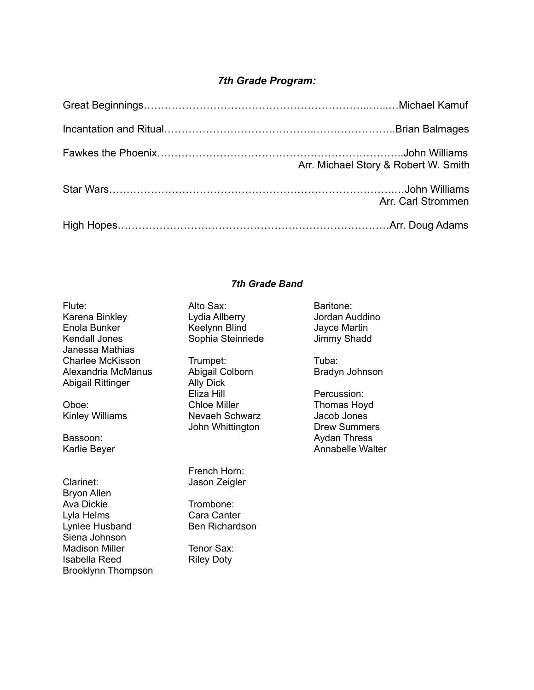## *7th Grade Program:*

| Arr. Michael Story & Robert W. Smith |
|--------------------------------------|
| Arr. Carl Strommen                   |
|                                      |

## *7th Grade Band*

| Alto Sax:<br>Lydia Allberry<br>Keelynn Blind<br>Sophia Steinriede | Baritone:<br>Jordan Auddino<br>Jayce Martin<br>Jimmy Shadd |
|-------------------------------------------------------------------|------------------------------------------------------------|
| Trumpet:                                                          | Tuba:                                                      |
| Abigail Colborn<br><b>Ally Dick</b>                               | Bradyn Johnson                                             |
| Eliza Hill                                                        | Percussion:                                                |
| <b>Chloe Miller</b>                                               | Thomas Hoyd                                                |
| John Whittington                                                  | Jacob Jones<br><b>Drew Summers</b>                         |
|                                                                   | <b>Aydan Thress</b>                                        |
|                                                                   | <b>Annabelle Walter</b>                                    |
| French Horn:<br>Jason Zeigler                                     |                                                            |
| Trombone:                                                         |                                                            |
| Cara Canter                                                       |                                                            |
| Ben Richardson                                                    |                                                            |
| Tenor Sax:                                                        |                                                            |
| <b>Riley Doty</b>                                                 |                                                            |
|                                                                   | Nevaeh Schwarz                                             |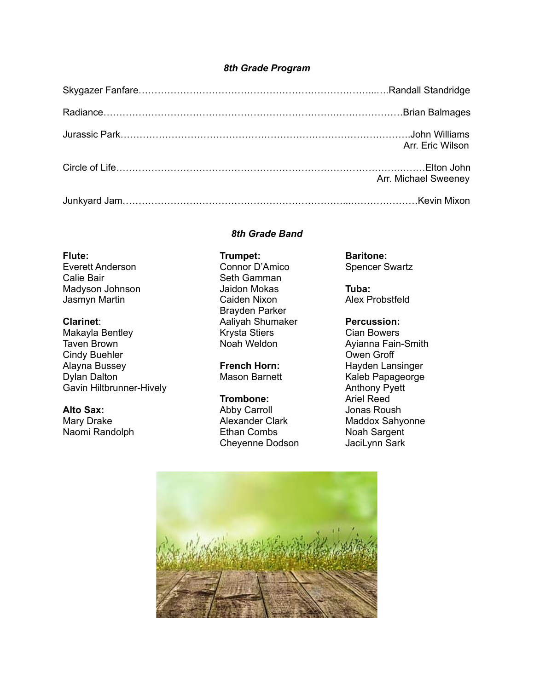## *8th Grade Program*

| Arr. Eric Wilson     |
|----------------------|
| Arr. Michael Sweeney |
|                      |

## *8th Grade Band*

# Calie Bair **Seth Gamman**

Makayla Bentley **Krysta Stiers** Cian Bowers Communist Communist Communist Communist Communist Communist Communist Taven Brown **Noah Weldon** Ayianna Fain-Smith Cindy Buehler Cindy Buehler Cindy Buehler<br>Alavna Bussev Grofff Groff French Horn: Alayna Bussey **French Horn:** Hayden Lansinger Dylan Dalton Mason Barnett Kaleb Papageorge Mason Barnett Gavin Hiltbrunner-Hively **Anthony Pyett** 

Naomi Randolph

## **Flute: Baritone: Trumpet: Baritone: Baritone: Everett Anderson** Connor D'Amico Spencer Swartz Madyson Johnson **Jaidon Mokas Tuba:** Jasmyn Martin **Caiden Nixon** Caiden Nixon Alex Probstfeld Brayden Parker **Clarinet:** Aaliyah Shumaker **Percussion:**

Alto Sax: Abby Carroll Jonas Roush Cheyenne Dodson JaciLynn Sark

**Trombone:** Ariel Reed Mary Drake **Alexander Clark** Maddox Sahyonne Maddox Sahyonne<br>
Naomi Randolph **Alexander Clark** Moah Sargent

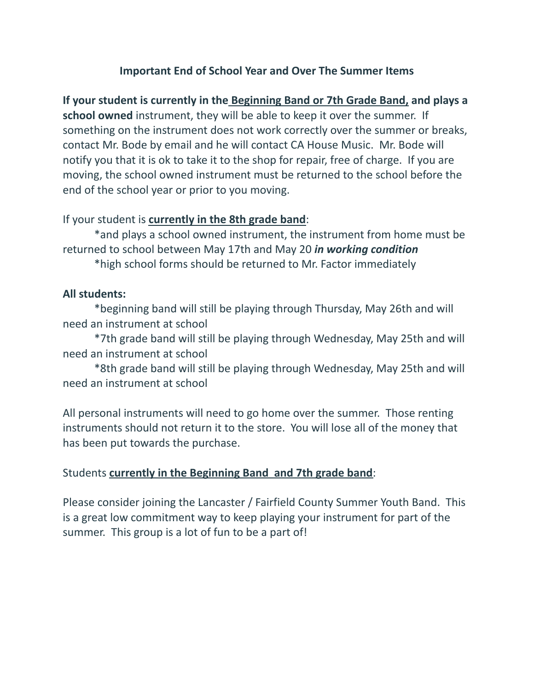## **Important End of School Year and Over The Summer Items**

**If your student is currently in the Beginning Band or 7th Grade Band, and plays a school owned** instrument, they will be able to keep it over the summer. If something on the instrument does not work correctly over the summer or breaks, contact Mr. Bode by email and he will contact CA House Music. Mr. Bode will notify you that it is ok to take it to the shop for repair, free of charge. If you are moving, the school owned instrument must be returned to the school before the end of the school year or prior to you moving.

## If your student is **currently in the 8th grade band**:

\*and plays a school owned instrument, the instrument from home must be returned to school between May 17th and May 20 *in working condition* \*high school forms should be returned to Mr. Factor immediately

## **All students:**

\*beginning band will still be playing through Thursday, May 26th and will need an instrument at school

\*7th grade band will still be playing through Wednesday, May 25th and will need an instrument at school

\*8th grade band will still be playing through Wednesday, May 25th and will need an instrument at school

All personal instruments will need to go home over the summer. Those renting instruments should not return it to the store. You will lose all of the money that has been put towards the purchase.

## Students **currently in the Beginning Band and 7th grade band**:

Please consider joining the Lancaster / Fairfield County Summer Youth Band. This is a great low commitment way to keep playing your instrument for part of the summer. This group is a lot of fun to be a part of!